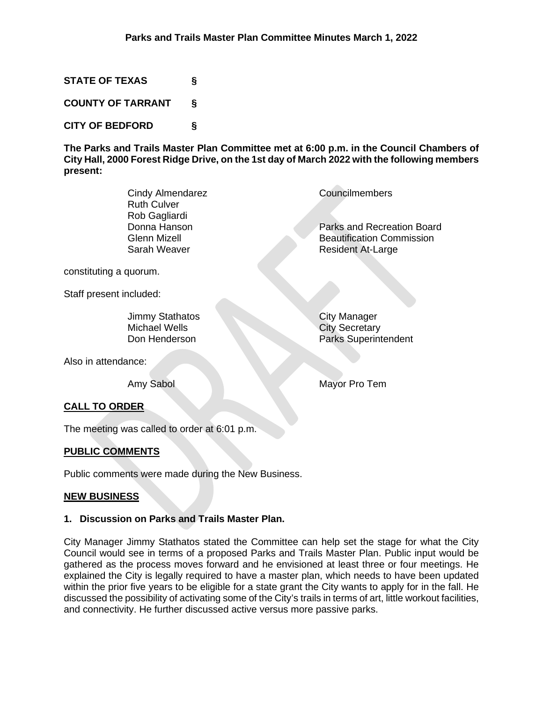**STATE OF TEXAS §**

**COUNTY OF TARRANT §**

**CITY OF BEDFORD §**

**The Parks and Trails Master Plan Committee met at 6:00 p.m. in the Council Chambers of City Hall, 2000 Forest Ridge Drive, on the 1st day of March 2022 with the following members present:**

| Cindy Almendarez   | Councilmembers                   |
|--------------------|----------------------------------|
| <b>Ruth Culver</b> |                                  |
| Rob Gagliardi      |                                  |
| Donna Hanson       | Parks and Recreation Board       |
| Glenn Mizell       | <b>Beautification Commission</b> |
| Sarah Weaver       | <b>Resident At-Large</b>         |
|                    |                                  |

constituting a quorum.

Staff present included:

Jimmy Stathatos City Manager<br>Michael Wells City Secretary Michael Wells City Secretary<br>
Don Henderson<br>
Parks Superint

Parks Superintendent

Also in attendance:

Amy Sabol Mayor Pro Tem

# **CALL TO ORDER**

The meeting was called to order at 6:01 p.m.

# **PUBLIC COMMENTS**

Public comments were made during the New Business.

# **NEW BUSINESS**

# **1. Discussion on Parks and Trails Master Plan.**

City Manager Jimmy Stathatos stated the Committee can help set the stage for what the City Council would see in terms of a proposed Parks and Trails Master Plan. Public input would be gathered as the process moves forward and he envisioned at least three or four meetings. He explained the City is legally required to have a master plan, which needs to have been updated within the prior five years to be eligible for a state grant the City wants to apply for in the fall. He discussed the possibility of activating some of the City's trails in terms of art, little workout facilities, and connectivity. He further discussed active versus more passive parks.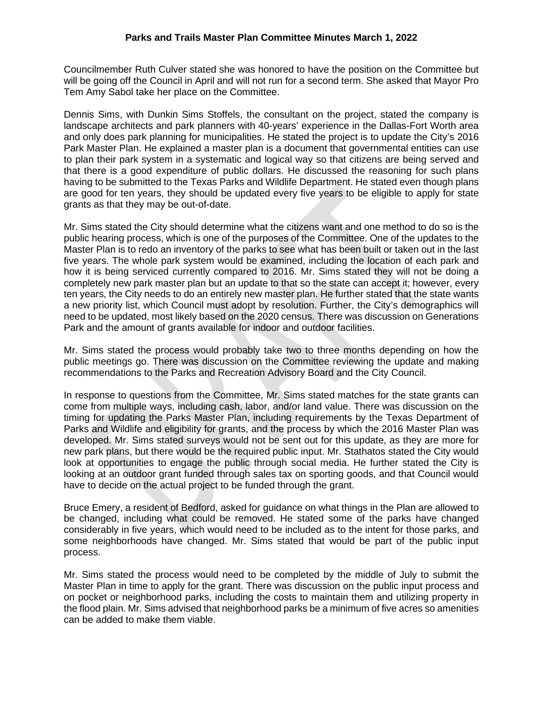Councilmember Ruth Culver stated she was honored to have the position on the Committee but will be going off the Council in April and will not run for a second term. She asked that Mayor Pro Tem Amy Sabol take her place on the Committee.

Dennis Sims, with Dunkin Sims Stoffels, the consultant on the project, stated the company is landscape architects and park planners with 40-years' experience in the Dallas-Fort Worth area and only does park planning for municipalities. He stated the project is to update the City's 2016 Park Master Plan. He explained a master plan is a document that governmental entities can use to plan their park system in a systematic and logical way so that citizens are being served and that there is a good expenditure of public dollars. He discussed the reasoning for such plans having to be submitted to the Texas Parks and Wildlife Department. He stated even though plans are good for ten years, they should be updated every five years to be eligible to apply for state grants as that they may be out-of-date.

Mr. Sims stated the City should determine what the citizens want and one method to do so is the public hearing process, which is one of the purposes of the Committee. One of the updates to the Master Plan is to redo an inventory of the parks to see what has been built or taken out in the last five years. The whole park system would be examined, including the location of each park and how it is being serviced currently compared to 2016. Mr. Sims stated they will not be doing a completely new park master plan but an update to that so the state can accept it; however, every ten years, the City needs to do an entirely new master plan. He further stated that the state wants a new priority list, which Council must adopt by resolution. Further, the City's demographics will need to be updated, most likely based on the 2020 census. There was discussion on Generations Park and the amount of grants available for indoor and outdoor facilities.

Mr. Sims stated the process would probably take two to three months depending on how the public meetings go. There was discussion on the Committee reviewing the update and making recommendations to the Parks and Recreation Advisory Board and the City Council.

In response to questions from the Committee, Mr. Sims stated matches for the state grants can come from multiple ways, including cash, labor, and/or land value. There was discussion on the timing for updating the Parks Master Plan, including requirements by the Texas Department of Parks and Wildlife and eligibility for grants, and the process by which the 2016 Master Plan was developed. Mr. Sims stated surveys would not be sent out for this update, as they are more for new park plans, but there would be the required public input. Mr. Stathatos stated the City would look at opportunities to engage the public through social media. He further stated the City is looking at an outdoor grant funded through sales tax on sporting goods, and that Council would have to decide on the actual project to be funded through the grant.

Bruce Emery, a resident of Bedford, asked for guidance on what things in the Plan are allowed to be changed, including what could be removed. He stated some of the parks have changed considerably in five years, which would need to be included as to the intent for those parks, and some neighborhoods have changed. Mr. Sims stated that would be part of the public input process.

Mr. Sims stated the process would need to be completed by the middle of July to submit the Master Plan in time to apply for the grant. There was discussion on the public input process and on pocket or neighborhood parks, including the costs to maintain them and utilizing property in the flood plain. Mr. Sims advised that neighborhood parks be a minimum of five acres so amenities can be added to make them viable.